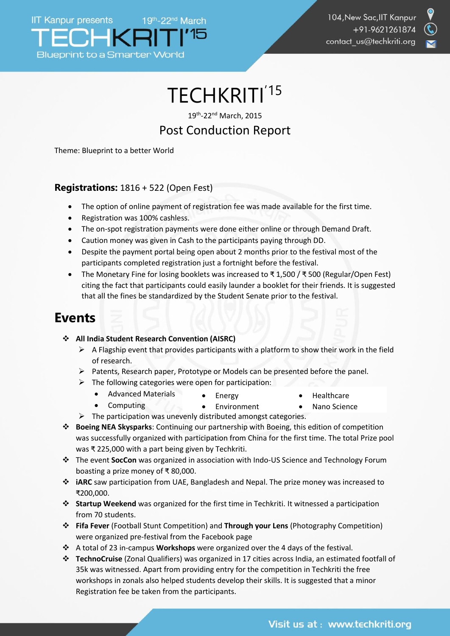



# TECHKRITI<sup>'15</sup>

19th -22nd March, 2015

## Post Conduction Report

Theme: Blueprint to a better World

#### **Registrations:** 1816 + 522 (Open Fest)

- The option of online payment of registration fee was made available for the first time.
- Registration was 100% cashless.
- The on-spot registration payments were done either online or through Demand Draft.
- Caution money was given in Cash to the participants paying through DD.
- Despite the payment portal being open about 2 months prior to the festival most of the participants completed registration just a fortnight before the festival.
- The Monetary Fine for losing booklets was increased to ₹ 1,500 / ₹ 500 (Regular/Open Fest) citing the fact that participants could easily launder a booklet for their friends. It is suggested that all the fines be standardized by the Student Senate prior to the festival.

## **Events**

**All India Student Research Convention (AISRC)**

Computing

- $\triangleright$  A Flagship event that provides participants with a platform to show their work in the field of research.
- $\triangleright$  Patents, Research paper, Prototype or Models can be presented before the panel.
- $\triangleright$  The following categories were open for participation:
	- Energy Advanced Materials
- Healthcare
	- Nano Science
- Environment  $\triangleright$  The participation was unevenly distributed amongst categories.
- **Boeing NEA Skysparks**: Continuing our partnership with Boeing, this edition of competition was successfully organized with participation from China for the first time. The total Prize pool was ₹ 225,000 with a part being given by Techkriti.
- The event **SocCon** was organized in association with Indo-US Science and Technology Forum boasting a prize money of ₹ 80,000.
- **iARC** saw participation from UAE, Bangladesh and Nepal. The prize money was increased to ₹200,000.
- **Startup Weekend** was organized for the first time in Techkriti. It witnessed a participation from 70 students.
- **Fifa Fever** (Football Stunt Competition) and **Through your Lens** (Photography Competition) were organized pre-festival from the Facebook page
- A total of 23 in-campus **Workshops** were organized over the 4 days of the festival.
- **TechnoCruise** (Zonal Qualifiers) was organized in 17 cities across India, an estimated footfall of 35k was witnessed. Apart from providing entry for the competition in Techkriti the free workshops in zonals also helped students develop their skills. It is suggested that a minor Registration fee be taken from the participants.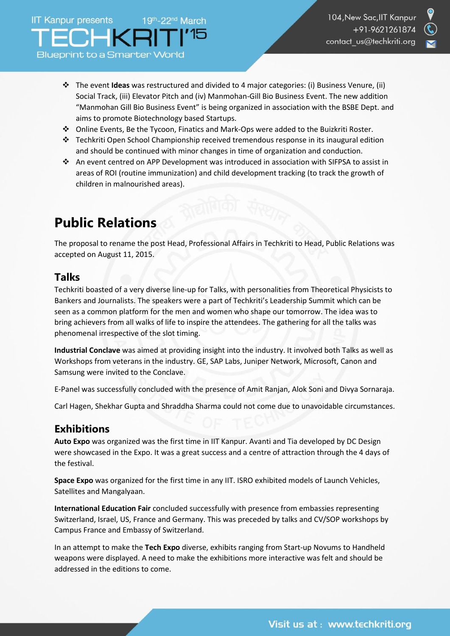- 
- The event **Ideas** was restructured and divided to 4 major categories: (i) Business Venure, (ii) Social Track, (iii) Elevator Pitch and (iv) Manmohan-Gill Bio Business Event. The new addition "Manmohan Gill Bio Business Event" is being organized in association with the BSBE Dept. and aims to promote Biotechnology based Startups.
- Online Events, Be the Tycoon, Finatics and Mark-Ops were added to the Buizkriti Roster.
- Fechkriti Open School Championship received tremendous response in its inaugural edition and should be continued with minor changes in time of organization and conduction.
- An event centred on APP Development was introduced in association with SIFPSA to assist in areas of ROI (routine immunization) and child development tracking (to track the growth of children in malnourished areas).

## **Public Relations**

The proposal to rename the post Head, Professional Affairs in Techkriti to Head, Public Relations was accepted on August 11, 2015.

#### **Talks**

Techkriti boasted of a very diverse line-up for Talks, with personalities from Theoretical Physicists to Bankers and Journalists. The speakers were a part of Techkriti's Leadership Summit which can be seen as a common platform for the men and women who shape our tomorrow. The idea was to bring achievers from all walks of life to inspire the attendees. The gathering for all the talks was phenomenal irrespective of the slot timing.

**Industrial Conclave** was aimed at providing insight into the industry. It involved both Talks as well as Workshops from veterans in the industry. GE, SAP Labs, Juniper Network, Microsoft, Canon and Samsung were invited to the Conclave.

E-Panel was successfully concluded with the presence of Amit Ranjan, Alok Soni and Divya Sornaraja.

Carl Hagen, Shekhar Gupta and Shraddha Sharma could not come due to unavoidable circumstances.

### **Exhibitions**

**Auto Expo** was organized was the first time in IIT Kanpur. Avanti and Tia developed by DC Design were showcased in the Expo. It was a great success and a centre of attraction through the 4 days of the festival.

**Space Expo** was organized for the first time in any IIT. ISRO exhibited models of Launch Vehicles, Satellites and Mangalyaan.

**International Education Fair** concluded successfully with presence from embassies representing Switzerland, Israel, US, France and Germany. This was preceded by talks and CV/SOP workshops by Campus France and Embassy of Switzerland.

In an attempt to make the **Tech Expo** diverse, exhibits ranging from Start-up Novums to Handheld weapons were displayed. A need to make the exhibitions more interactive was felt and should be addressed in the editions to come.